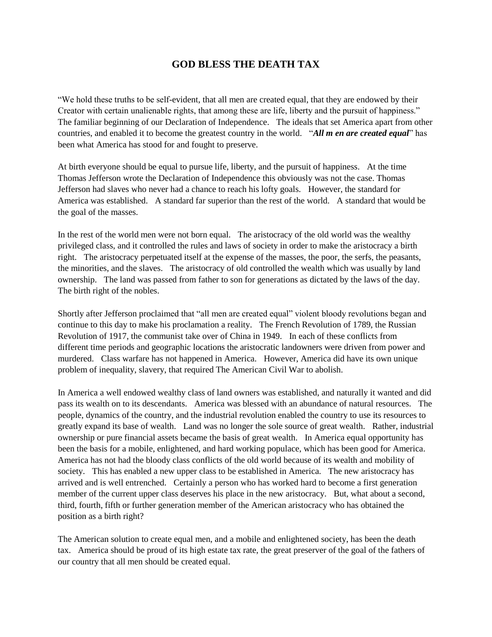## **GOD BLESS THE DEATH TAX**

"We hold these truths to be self-evident, that all men are created equal, that they are endowed by their Creator with certain unalienable rights, that among these are life, liberty and the pursuit of happiness." The familiar beginning of our Declaration of Independence. The ideals that set America apart from other countries, and enabled it to become the greatest country in the world. "*All m en are created equal*" has been what America has stood for and fought to preserve.

At birth everyone should be equal to pursue life, liberty, and the pursuit of happiness. At the time Thomas Jefferson wrote the Declaration of Independence this obviously was not the case. Thomas Jefferson had slaves who never had a chance to reach his lofty goals. However, the standard for America was established. A standard far superior than the rest of the world. A standard that would be the goal of the masses.

In the rest of the world men were not born equal. The aristocracy of the old world was the wealthy privileged class, and it controlled the rules and laws of society in order to make the aristocracy a birth right. The aristocracy perpetuated itself at the expense of the masses, the poor, the serfs, the peasants, the minorities, and the slaves. The aristocracy of old controlled the wealth which was usually by land ownership. The land was passed from father to son for generations as dictated by the laws of the day. The birth right of the nobles.

Shortly after Jefferson proclaimed that "all men are created equal" violent bloody revolutions began and continue to this day to make his proclamation a reality. The French Revolution of 1789, the Russian Revolution of 1917, the communist take over of China in 1949. In each of these conflicts from different time periods and geographic locations the aristocratic landowners were driven from power and murdered. Class warfare has not happened in America. However, America did have its own unique problem of inequality, slavery, that required The American Civil War to abolish.

In America a well endowed wealthy class of land owners was established, and naturally it wanted and did pass its wealth on to its descendants. America was blessed with an abundance of natural resources. The people, dynamics of the country, and the industrial revolution enabled the country to use its resources to greatly expand its base of wealth. Land was no longer the sole source of great wealth. Rather, industrial ownership or pure financial assets became the basis of great wealth. In America equal opportunity has been the basis for a mobile, enlightened, and hard working populace, which has been good for America. America has not had the bloody class conflicts of the old world because of its wealth and mobility of society. This has enabled a new upper class to be established in America. The new aristocracy has arrived and is well entrenched. Certainly a person who has worked hard to become a first generation member of the current upper class deserves his place in the new aristocracy. But, what about a second, third, fourth, fifth or further generation member of the American aristocracy who has obtained the position as a birth right?

The American solution to create equal men, and a mobile and enlightened society, has been the death tax. America should be proud of its high estate tax rate, the great preserver of the goal of the fathers of our country that all men should be created equal.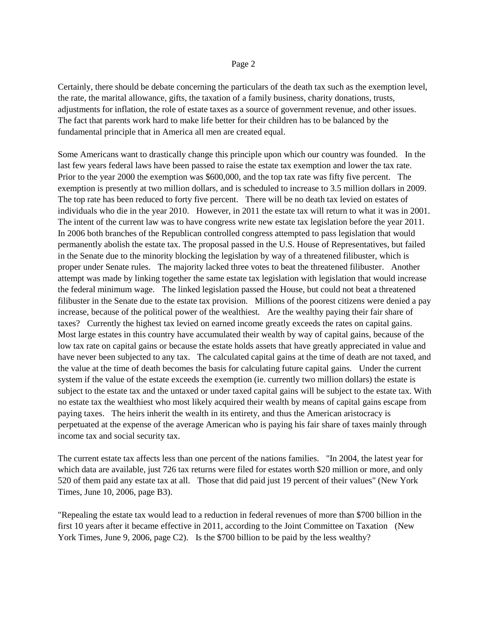## Page 2

Certainly, there should be debate concerning the particulars of the death tax such as the exemption level, the rate, the marital allowance, gifts, the taxation of a family business, charity donations, trusts, adjustments for inflation, the role of estate taxes as a source of government revenue, and other issues. The fact that parents work hard to make life better for their children has to be balanced by the fundamental principle that in America all men are created equal.

Some Americans want to drastically change this principle upon which our country was founded. In the last few years federal laws have been passed to raise the estate tax exemption and lower the tax rate. Prior to the year 2000 the exemption was \$600,000, and the top tax rate was fifty five percent. The exemption is presently at two million dollars, and is scheduled to increase to 3.5 million dollars in 2009. The top rate has been reduced to forty five percent. There will be no death tax levied on estates of individuals who die in the year 2010. However, in 2011 the estate tax will return to what it was in 2001. The intent of the current law was to have congress write new estate tax legislation before the year 2011. In 2006 both branches of the Republican controlled congress attempted to pass legislation that would permanently abolish the estate tax. The proposal passed in the U.S. House of Representatives, but failed in the Senate due to the minority blocking the legislation by way of a threatened filibuster, which is proper under Senate rules. The majority lacked three votes to beat the threatened filibuster. Another attempt was made by linking together the same estate tax legislation with legislation that would increase the federal minimum wage. The linked legislation passed the House, but could not beat a threatened filibuster in the Senate due to the estate tax provision. Millions of the poorest citizens were denied a pay increase, because of the political power of the wealthiest. Are the wealthy paying their fair share of taxes? Currently the highest tax levied on earned income greatly exceeds the rates on capital gains. Most large estates in this country have accumulated their wealth by way of capital gains, because of the low tax rate on capital gains or because the estate holds assets that have greatly appreciated in value and have never been subjected to any tax. The calculated capital gains at the time of death are not taxed, and the value at the time of death becomes the basis for calculating future capital gains. Under the current system if the value of the estate exceeds the exemption (ie. currently two million dollars) the estate is subject to the estate tax and the untaxed or under taxed capital gains will be subject to the estate tax. With no estate tax the wealthiest who most likely acquired their wealth by means of capital gains escape from paying taxes. The heirs inherit the wealth in its entirety, and thus the American aristocracy is perpetuated at the expense of the average American who is paying his fair share of taxes mainly through income tax and social security tax.

The current estate tax affects less than one percent of the nations families. "In 2004, the latest year for which data are available, just 726 tax returns were filed for estates worth \$20 million or more, and only 520 of them paid any estate tax at all. Those that did paid just 19 percent of their values" (New York Times, June 10, 2006, page B3).

"Repealing the estate tax would lead to a reduction in federal revenues of more than \$700 billion in the first 10 years after it became effective in 2011, according to the Joint Committee on Taxation (New York Times, June 9, 2006, page C2). Is the \$700 billion to be paid by the less wealthy?